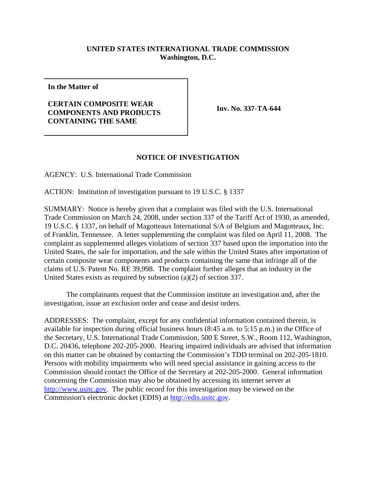## **UNITED STATES INTERNATIONAL TRADE COMMISSION Washington, D.C.**

**In the Matter of**

## **CERTAIN COMPOSITE WEAR COMPONENTS AND PRODUCTS CONTAINING THE SAME**

**Inv. No. 337-TA-644**

## **NOTICE OF INVESTIGATION**

AGENCY: U.S. International Trade Commission

ACTION: Institution of investigation pursuant to 19 U.S.C. § 1337

SUMMARY: Notice is hereby given that a complaint was filed with the U.S. International Trade Commission on March 24, 2008, under section 337 of the Tariff Act of 1930, as amended, 19 U.S.C. § 1337, on behalf of Magotteaux International S/A of Belgium and Magotteaux, Inc. of Franklin, Tennessee. A letter supplementing the complaint was filed on April 11, 2008. The complaint as supplemented alleges violations of section 337 based upon the importation into the United States, the sale for importation, and the sale within the United States after importation of certain composite wear components and products containing the same that infringe all of the claims of U.S. Patent No. RE 39,998. The complaint further alleges that an industry in the United States exists as required by subsection (a)(2) of section 337.

The complainants request that the Commission institute an investigation and, after the investigation, issue an exclusion order and cease and desist orders.

ADDRESSES: The complaint, except for any confidential information contained therein, is available for inspection during official business hours (8:45 a.m. to 5:15 p.m.) in the Office of the Secretary, U.S. International Trade Commission, 500 E Street, S.W., Room 112, Washington, D.C. 20436, telephone 202-205-2000. Hearing impaired individuals are advised that information on this matter can be obtained by contacting the Commission's TDD terminal on 202-205-1810. Persons with mobility impairments who will need special assistance in gaining access to the Commission should contact the Office of the Secretary at 202-205-2000. General information concerning the Commission may also be obtained by accessing its internet server at http://www.usitc.gov. The public record for this investigation may be viewed on the Commission's electronic docket (EDIS) at http://edis.usitc.gov.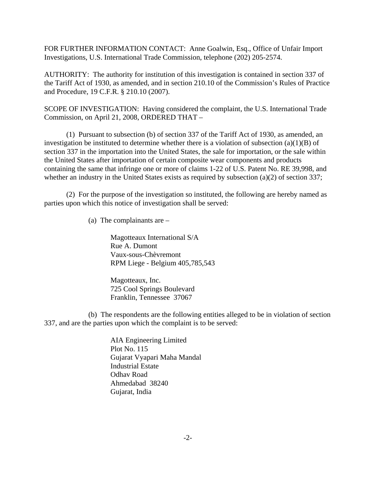FOR FURTHER INFORMATION CONTACT: Anne Goalwin, Esq., Office of Unfair Import Investigations, U.S. International Trade Commission, telephone (202) 205-2574.

AUTHORITY: The authority for institution of this investigation is contained in section 337 of the Tariff Act of 1930, as amended, and in section 210.10 of the Commission's Rules of Practice and Procedure, 19 C.F.R. § 210.10 (2007).

SCOPE OF INVESTIGATION: Having considered the complaint, the U.S. International Trade Commission, on April 21, 2008, ORDERED THAT –

(1) Pursuant to subsection (b) of section 337 of the Tariff Act of 1930, as amended, an investigation be instituted to determine whether there is a violation of subsection  $(a)(1)(B)$  of section 337 in the importation into the United States, the sale for importation, or the sale within the United States after importation of certain composite wear components and products containing the same that infringe one or more of claims 1-22 of U.S. Patent No. RE 39,998, and whether an industry in the United States exists as required by subsection (a)(2) of section 337;

(2) For the purpose of the investigation so instituted, the following are hereby named as parties upon which this notice of investigation shall be served:

(a) The complainants are –

Magotteaux International S/A Rue A. Dumont Vaux-sous-Chèvremont RPM Liege - Belgium 405,785,543

Magotteaux, Inc. 725 Cool Springs Boulevard Franklin, Tennessee 37067

(b) The respondents are the following entities alleged to be in violation of section 337, and are the parties upon which the complaint is to be served:

> AIA Engineering Limited Plot No. 115 Gujarat Vyapari Maha Mandal Industrial Estate Odhav Road Ahmedabad 38240 Gujarat, India